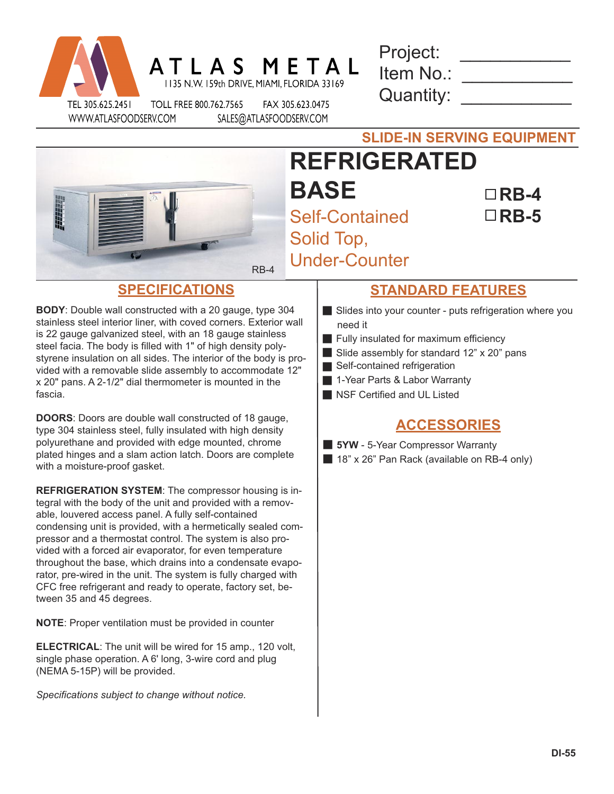|                  | ATLAS META             | 1135 N.W. 159th DRIVE, MIAMI, FLORIDA 33169 |
|------------------|------------------------|---------------------------------------------|
| TEL 305.625.2451 | TOLL FREE 800.762.7565 | FAX 305.623.0475                            |

| Project:  |  |
|-----------|--|
| Item No.: |  |
| Quantity: |  |

WWW.ATLASFOODSERV.COM

.623.0475 SALES@ATLASFOODSERV.COM



## **SLIDE-IN SERVING EQUIPMENT REFRIGERATED BASE** Self-Contained Solid Top, Under-Counter **RB-4 RB-5**

**BODY**: Double wall constructed with a 20 gauge, type 304 stainless steel interior liner, with coved corners. Exterior wall is 22 gauge galvanized steel, with an 18 gauge stainless steel facia. The body is filled with 1" of high density polystyrene insulation on all sides. The interior of the body is provided with a removable slide assembly to accommodate 12" x 20" pans. A 2-1/2" dial thermometer is mounted in the fascia.

**DOORS**: Doors are double wall constructed of 18 gauge, type 304 stainless steel, fully insulated with high density polyurethane and provided with edge mounted, chrome plated hinges and a slam action latch. Doors are complete with a moisture-proof gasket.

**REFRIGERATION SYSTEM**: The compressor housing is integral with the body of the unit and provided with a removable, louvered access panel. A fully self-contained condensing unit is provided, with a hermetically sealed compressor and a thermostat control. The system is also provided with a forced air evaporator, for even temperature throughout the base, which drains into a condensate evaporator, pre-wired in the unit. The system is fully charged with CFC free refrigerant and ready to operate, factory set, between 35 and 45 degrees.

**NOTE**: Proper ventilation must be provided in counter

**ELECTRICAL**: The unit will be wired for 15 amp., 120 volt, single phase operation. A 6' long, 3-wire cord and plug (NEMA 5-15P) will be provided.

*Specifications subject to change without notice.*

## **SPECIFICATIONS STANDARD FEATURES**

- Slides into your counter puts refrigeration where you need it
- $\blacksquare$  Fully insulated for maximum efficiency
- Slide assembly for standard  $12"$  x  $20"$  pans
- Self-contained refrigeration
- 1-Year Parts & Labor Warranty
- Secrified and UL Listed

## **ACCESSORIES**

**5YW** - 5-Year Compressor Warranty

**18" x 26" Pan Rack (available on RB-4 only)**